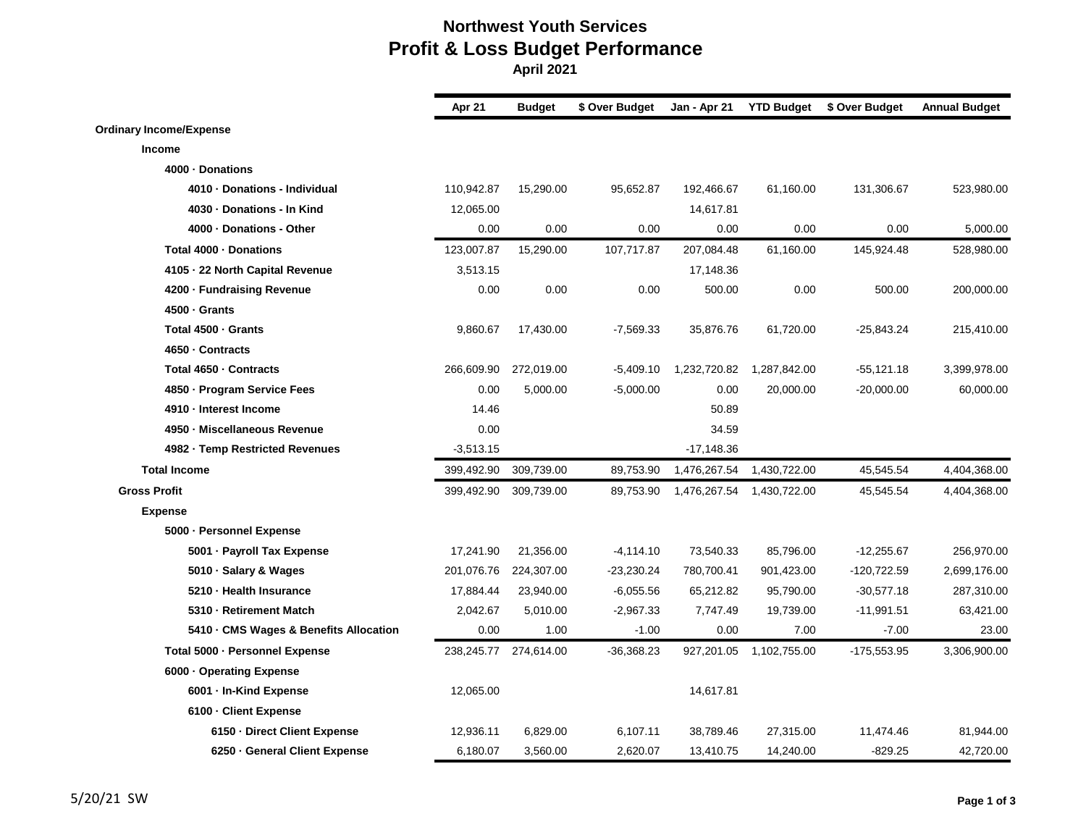## **Northwest Youth Services Profit & Loss Budget Performance April 2021**

|                                        | Apr 21      | <b>Budget</b> | \$ Over Budget | Jan - Apr 21 | <b>YTD Budget</b> | \$ Over Budget | <b>Annual Budget</b> |
|----------------------------------------|-------------|---------------|----------------|--------------|-------------------|----------------|----------------------|
| <b>Ordinary Income/Expense</b>         |             |               |                |              |                   |                |                      |
| Income                                 |             |               |                |              |                   |                |                      |
| 4000 · Donations                       |             |               |                |              |                   |                |                      |
| 4010 - Donations - Individual          | 110,942.87  | 15,290.00     | 95,652.87      | 192,466.67   | 61,160.00         | 131,306.67     | 523,980.00           |
| 4030 - Donations - In Kind             | 12,065.00   |               |                | 14,617.81    |                   |                |                      |
| 4000 · Donations - Other               | 0.00        | 0.00          | 0.00           | 0.00         | 0.00              | 0.00           | 5,000.00             |
| Total 4000 · Donations                 | 123,007.87  | 15,290.00     | 107,717.87     | 207,084.48   | 61,160.00         | 145,924.48     | 528,980.00           |
| 4105 - 22 North Capital Revenue        | 3,513.15    |               |                | 17,148.36    |                   |                |                      |
| 4200 · Fundraising Revenue             | 0.00        | 0.00          | 0.00           | 500.00       | 0.00              | 500.00         | 200,000.00           |
| 4500 · Grants                          |             |               |                |              |                   |                |                      |
| Total 4500 - Grants                    | 9,860.67    | 17,430.00     | $-7,569.33$    | 35,876.76    | 61,720.00         | $-25,843.24$   | 215,410.00           |
| 4650 · Contracts                       |             |               |                |              |                   |                |                      |
| Total 4650 · Contracts                 | 266,609.90  | 272,019.00    | $-5,409.10$    | 1,232,720.82 | 1,287,842.00      | $-55,121.18$   | 3,399,978.00         |
| 4850 · Program Service Fees            | 0.00        | 5,000.00      | $-5,000.00$    | 0.00         | 20,000.00         | $-20,000.00$   | 60,000.00            |
| 4910 - Interest Income                 | 14.46       |               |                | 50.89        |                   |                |                      |
| 4950 · Miscellaneous Revenue           | 0.00        |               |                | 34.59        |                   |                |                      |
| 4982 - Temp Restricted Revenues        | $-3,513.15$ |               |                | $-17,148.36$ |                   |                |                      |
| <b>Total Income</b>                    | 399,492.90  | 309,739.00    | 89,753.90      | 1,476,267.54 | 1,430,722.00      | 45,545.54      | 4,404,368.00         |
| <b>Gross Profit</b>                    | 399,492.90  | 309,739.00    | 89,753.90      | 1,476,267.54 | 1,430,722.00      | 45,545.54      | 4,404,368.00         |
| <b>Expense</b>                         |             |               |                |              |                   |                |                      |
| 5000 - Personnel Expense               |             |               |                |              |                   |                |                      |
| 5001 - Payroll Tax Expense             | 17,241.90   | 21,356.00     | $-4, 114.10$   | 73,540.33    | 85,796.00         | $-12,255.67$   | 256,970.00           |
| 5010 · Salary & Wages                  | 201,076.76  | 224,307.00    | $-23,230.24$   | 780,700.41   | 901,423.00        | $-120,722.59$  | 2,699,176.00         |
| 5210 - Health Insurance                | 17,884.44   | 23,940.00     | $-6,055.56$    | 65,212.82    | 95,790.00         | $-30,577.18$   | 287,310.00           |
| 5310 - Retirement Match                | 2,042.67    | 5,010.00      | $-2,967.33$    | 7,747.49     | 19,739.00         | $-11,991.51$   | 63,421.00            |
| 5410 · CMS Wages & Benefits Allocation | 0.00        | 1.00          | $-1.00$        | 0.00         | 7.00              | $-7.00$        | 23.00                |
| Total 5000 - Personnel Expense         | 238,245.77  | 274,614.00    | $-36,368.23$   | 927,201.05   | 1,102,755.00      | $-175,553.95$  | 3,306,900.00         |
| 6000 - Operating Expense               |             |               |                |              |                   |                |                      |
| 6001 - In-Kind Expense                 | 12,065.00   |               |                | 14,617.81    |                   |                |                      |
| 6100 - Client Expense                  |             |               |                |              |                   |                |                      |
| 6150 - Direct Client Expense           | 12,936.11   | 6,829.00      | 6,107.11       | 38,789.46    | 27,315.00         | 11,474.46      | 81,944.00            |
| 6250 - General Client Expense          | 6,180.07    | 3,560.00      | 2,620.07       | 13,410.75    | 14,240.00         | $-829.25$      | 42,720.00            |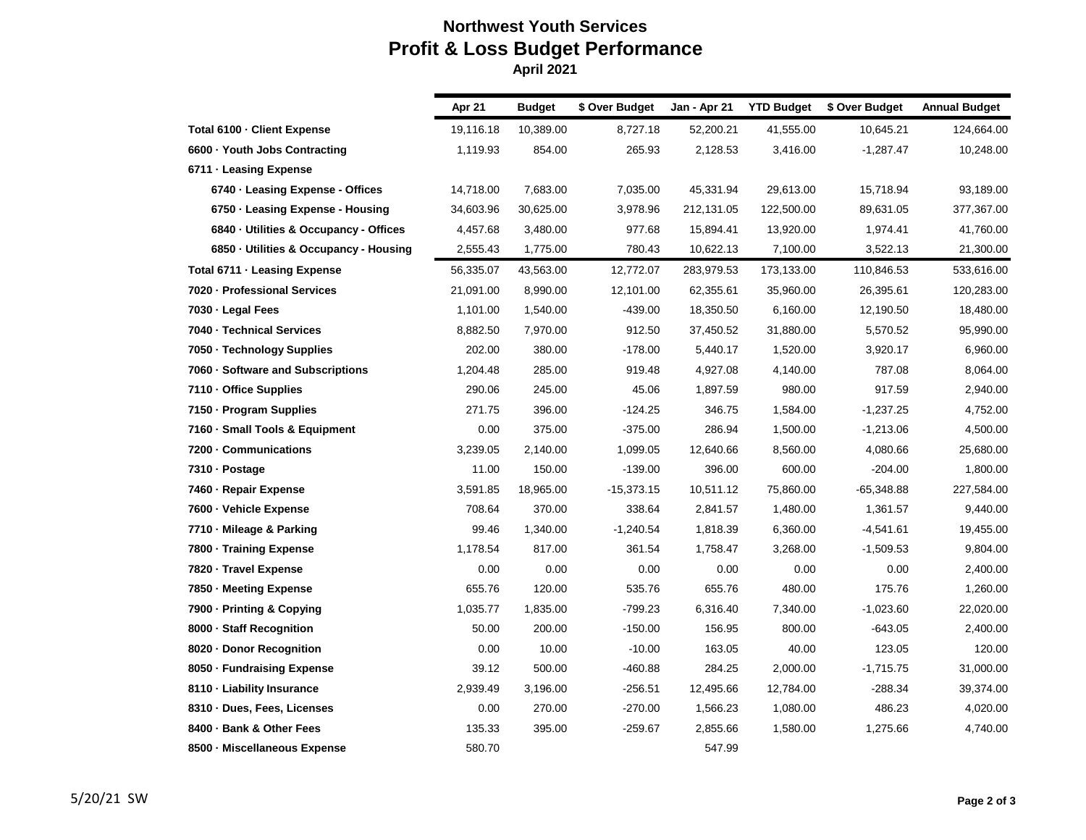## **Northwest Youth Services Profit & Loss Budget Performance April 2021**

|                                        | Apr 21    | <b>Budget</b> | \$ Over Budget | Jan - Apr 21 | <b>YTD Budget</b> | \$ Over Budget | <b>Annual Budget</b> |  |
|----------------------------------------|-----------|---------------|----------------|--------------|-------------------|----------------|----------------------|--|
| Total 6100 - Client Expense            | 19,116.18 | 10,389.00     | 8,727.18       | 52,200.21    | 41,555.00         | 10,645.21      | 124,664.00           |  |
| 6600 · Youth Jobs Contracting          | 1,119.93  | 854.00        | 265.93         | 2,128.53     | 3,416.00          | $-1,287.47$    | 10,248.00            |  |
| 6711 - Leasing Expense                 |           |               |                |              |                   |                |                      |  |
| 6740 - Leasing Expense - Offices       | 14,718.00 | 7,683.00      | 7,035.00       | 45,331.94    | 29,613.00         | 15,718.94      | 93,189.00            |  |
| 6750 - Leasing Expense - Housing       | 34,603.96 | 30,625.00     | 3,978.96       | 212,131.05   | 122,500.00        | 89,631.05      | 377,367.00           |  |
| 6840 · Utilities & Occupancy - Offices | 4,457.68  | 3,480.00      | 977.68         | 15,894.41    | 13,920.00         | 1,974.41       | 41,760.00            |  |
| 6850 · Utilities & Occupancy - Housing | 2,555.43  | 1,775.00      | 780.43         | 10,622.13    | 7,100.00          | 3,522.13       | 21,300.00            |  |
| Total 6711 - Leasing Expense           | 56,335.07 | 43,563.00     | 12,772.07      | 283,979.53   | 173,133.00        | 110,846.53     | 533,616.00           |  |
| 7020 - Professional Services           | 21,091.00 | 8,990.00      | 12,101.00      | 62,355.61    | 35,960.00         | 26,395.61      | 120,283.00           |  |
| 7030 - Legal Fees                      | 1,101.00  | 1,540.00      | $-439.00$      | 18,350.50    | 6,160.00          | 12,190.50      | 18,480.00            |  |
| 7040 - Technical Services              | 8,882.50  | 7,970.00      | 912.50         | 37,450.52    | 31,880.00         | 5,570.52       | 95,990.00            |  |
| 7050 · Technology Supplies             | 202.00    | 380.00        | $-178.00$      | 5,440.17     | 1,520.00          | 3,920.17       | 6,960.00             |  |
| 7060 - Software and Subscriptions      | 1,204.48  | 285.00        | 919.48         | 4,927.08     | 4,140.00          | 787.08         | 8,064.00             |  |
| 7110 - Office Supplies                 | 290.06    | 245.00        | 45.06          | 1,897.59     | 980.00            | 917.59         | 2,940.00             |  |
| 7150 - Program Supplies                | 271.75    | 396.00        | $-124.25$      | 346.75       | 1,584.00          | $-1,237.25$    | 4,752.00             |  |
| 7160 · Small Tools & Equipment         | 0.00      | 375.00        | $-375.00$      | 286.94       | 1,500.00          | $-1,213.06$    | 4,500.00             |  |
| 7200 - Communications                  | 3,239.05  | 2,140.00      | 1,099.05       | 12,640.66    | 8,560.00          | 4,080.66       | 25,680.00            |  |
| 7310 - Postage                         | 11.00     | 150.00        | $-139.00$      | 396.00       | 600.00            | $-204.00$      | 1,800.00             |  |
| 7460 - Repair Expense                  | 3,591.85  | 18,965.00     | $-15,373.15$   | 10,511.12    | 75,860.00         | $-65,348.88$   | 227,584.00           |  |
| 7600 - Vehicle Expense                 | 708.64    | 370.00        | 338.64         | 2,841.57     | 1,480.00          | 1,361.57       | 9,440.00             |  |
| 7710 · Mileage & Parking               | 99.46     | 1,340.00      | $-1,240.54$    | 1.818.39     | 6,360.00          | $-4,541.61$    | 19,455.00            |  |
| 7800 - Training Expense                | 1,178.54  | 817.00        | 361.54         | 1,758.47     | 3,268.00          | $-1,509.53$    | 9,804.00             |  |
| 7820 · Travel Expense                  | 0.00      | 0.00          | 0.00           | 0.00         | 0.00              | 0.00           | 2,400.00             |  |
| 7850 - Meeting Expense                 | 655.76    | 120.00        | 535.76         | 655.76       | 480.00            | 175.76         | 1,260.00             |  |
| 7900 - Printing & Copying              | 1,035.77  | 1,835.00      | $-799.23$      | 6,316.40     | 7,340.00          | $-1,023.60$    | 22,020.00            |  |
| 8000 - Staff Recognition               | 50.00     | 200.00        | $-150.00$      | 156.95       | 800.00            | $-643.05$      | 2,400.00             |  |
| 8020 - Donor Recognition               | 0.00      | 10.00         | $-10.00$       | 163.05       | 40.00             | 123.05         | 120.00               |  |
| 8050 · Fundraising Expense             | 39.12     | 500.00        | $-460.88$      | 284.25       | 2,000.00          | $-1,715.75$    | 31,000.00            |  |
| 8110 - Liability Insurance             | 2,939.49  | 3,196.00      | $-256.51$      | 12,495.66    | 12,784.00         | $-288.34$      | 39,374.00            |  |
| 8310 · Dues, Fees, Licenses            | 0.00      | 270.00        | $-270.00$      | 1,566.23     | 1,080.00          | 486.23         | 4,020.00             |  |
| 8400 - Bank & Other Fees               | 135.33    | 395.00        | $-259.67$      | 2.855.66     | 1,580.00          | 1,275.66       | 4,740.00             |  |
| 8500 - Miscellaneous Expense           | 580.70    |               |                | 547.99       |                   |                |                      |  |